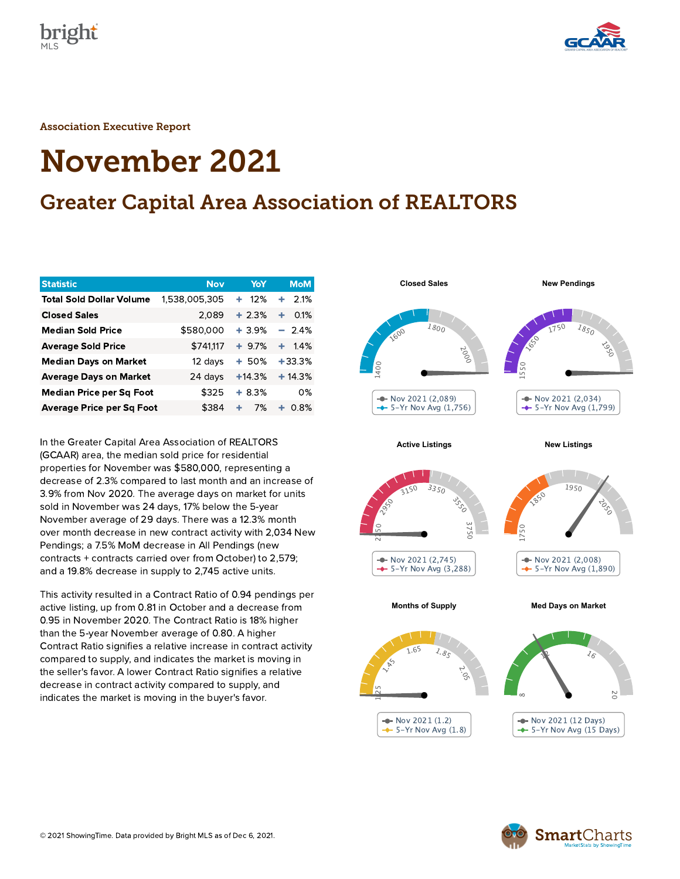



Association Executive Report

# November 2021

# Greater Capital Area Association of REALTORS

| <b>Statistic</b>                 | <b>Nov</b>    | YoY      | <b>MoM</b>     |
|----------------------------------|---------------|----------|----------------|
| <b>Total Sold Dollar Volume</b>  | 1,538,005,305 | 12%<br>÷ | 2.1%<br>٠      |
| <b>Closed Sales</b>              | 2,089         | $+2.3%$  | 0.1%<br>٠      |
| <b>Median Sold Price</b>         | \$580,000     | $+3.9%$  | $-2.4%$        |
| <b>Average Sold Price</b>        | \$741,117     | $+9.7%$  | $-1.4\%$<br>÷. |
| <b>Median Days on Market</b>     | 12 days       | $+50%$   | $+33.3%$       |
| <b>Average Days on Market</b>    | 24 days       | $+14.3%$ | $+14.3%$       |
| Median Price per Sq Foot         | \$325         | $+8.3%$  | $0\%$          |
| <b>Average Price per Sq Foot</b> | \$384         | ٠<br>7%  | $0.8\%$<br>÷   |

In the Greater Capital Area Association of REALTORS (GCAAR) area, the median sold price for residential properties for November was \$580,000, representing a decrease of 2.3% compared to last month and an increase of 3.9% from Nov 2020. The average days on market for units sold in November was 24 days, 17% below the 5-year November average of 29 days. There was a 12.3% month over month decrease in new contract activity with 2,034 New Pendings; a 7.5% MoM decrease in All Pendings (new contracts + contracts carried over from October) to 2,579; and a 19.8% decrease in supply to 2,745 active units.

This activity resulted in a Contract Ratio of 0.94 pendings per active listing, up from 0.81 in October and a decrease from 0.95 in November 2020. The Contract Ratio is 18% higher than the 5-year November average of 0.80. A higher Contract Ratio signifies a relative increase in contract activity compared to supply, and indicates the market is moving in the seller's favor. A lower Contract Ratio signifies a relative decrease in contract activity compared to supply, and indicates the market is moving in the buyer's favor.



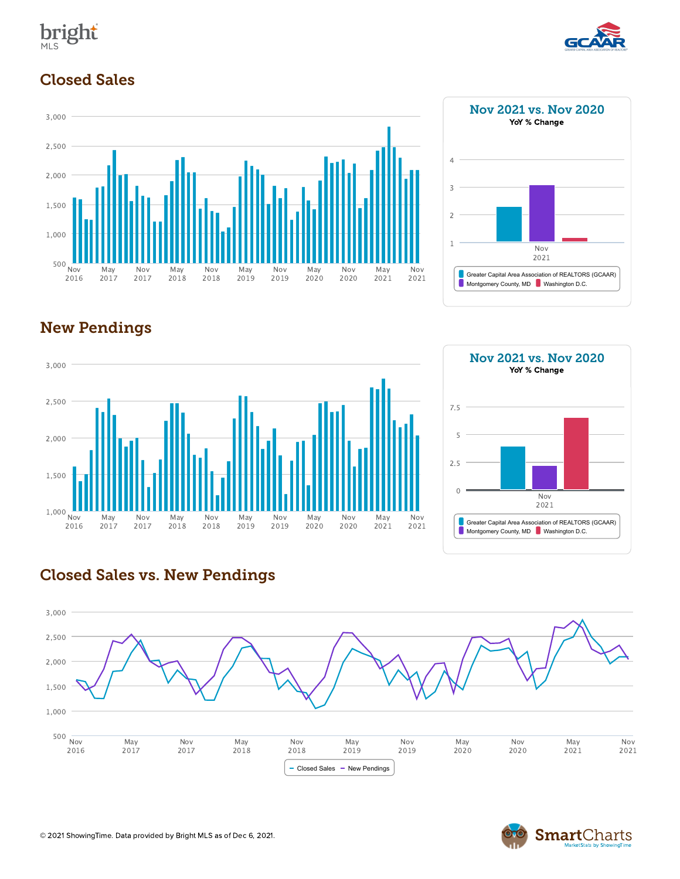



#### Closed Sales





## New Pendings





#### Closed Sales vs. New Pendings



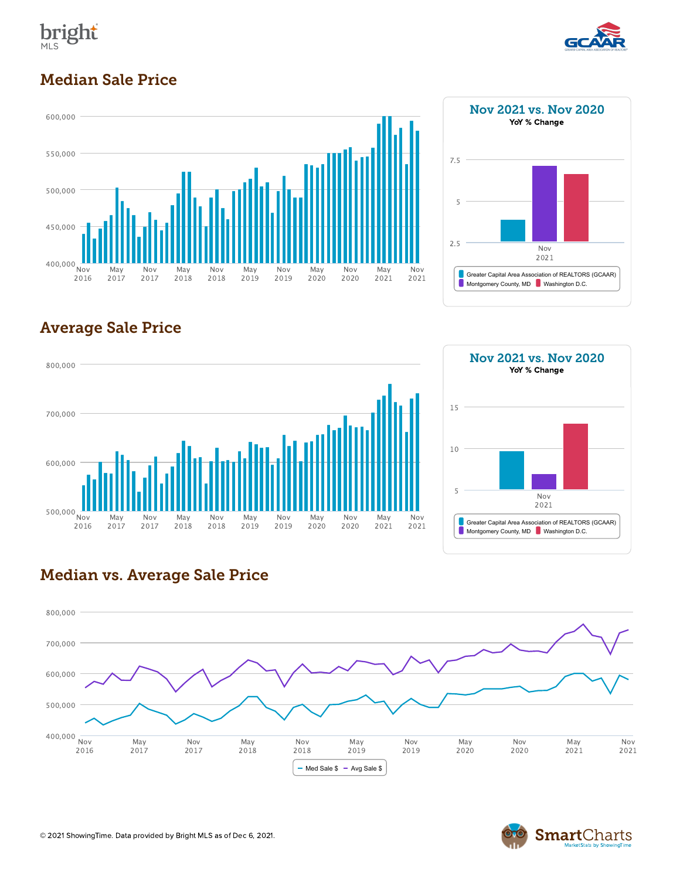



#### Median Sale Price





## Average Sale Price





#### Median vs. Average Sale Price